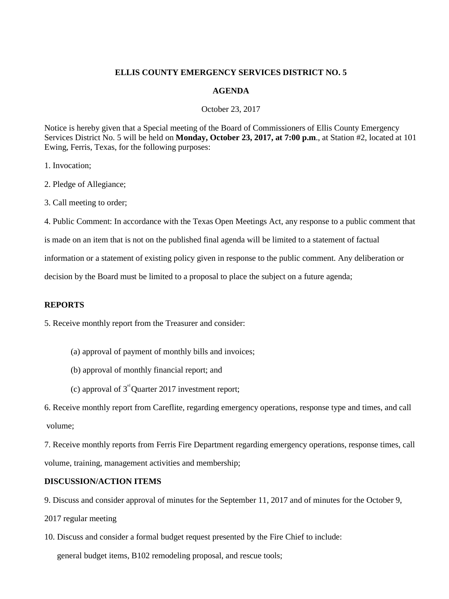## **ELLIS COUNTY EMERGENCY SERVICES DISTRICT NO. 5**

### **AGENDA**

October 23, 2017

Notice is hereby given that a Special meeting of the Board of Commissioners of Ellis County Emergency Services District No. 5 will be held on **Monday, October 23, 2017, at 7:00 p.m**., at Station #2, located at 101 Ewing, Ferris, Texas, for the following purposes:

1. Invocation;

2. Pledge of Allegiance;

3. Call meeting to order;

4. Public Comment: In accordance with the Texas Open Meetings Act, any response to a public comment that

is made on an item that is not on the published final agenda will be limited to a statement of factual

information or a statement of existing policy given in response to the public comment. Any deliberation or

decision by the Board must be limited to a proposal to place the subject on a future agenda;

## **REPORTS**

5. Receive monthly report from the Treasurer and consider:

- (a) approval of payment of monthly bills and invoices;
- (b) approval of monthly financial report; and
- (c) approval of  $3<sup>rd</sup>$  Quarter 2017 investment report;

6. Receive monthly report from Careflite, regarding emergency operations, response type and times, and call volume;

7. Receive monthly reports from Ferris Fire Department regarding emergency operations, response times, call volume, training, management activities and membership;

## **DISCUSSION/ACTION ITEMS**

9. Discuss and consider approval of minutes for the September 11, 2017 and of minutes for the October 9,

2017 regular meeting

10. Discuss and consider a formal budget request presented by the Fire Chief to include:

general budget items, B102 remodeling proposal, and rescue tools;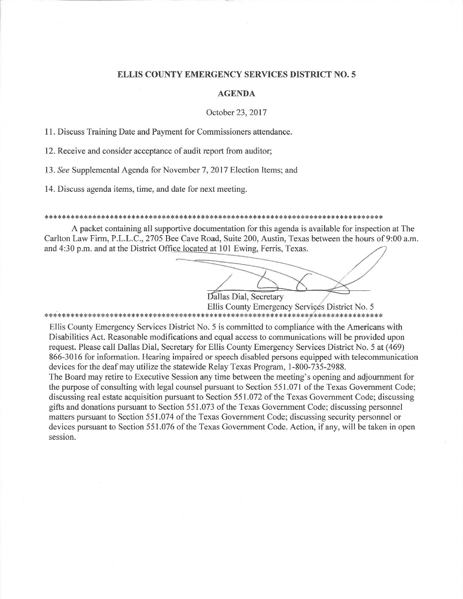### **ELLIS COUNTY EMERGENCY SERVICES DISTRICT NO. 5**

### **AGENDA**

#### October 23, 2017

11. Discuss Training Date and Payment for Commissioners attendance.

12. Receive and consider acceptance of audit report from auditor;

13. See Supplemental Agenda for November 7, 2017 Election Items; and

14. Discuss agenda items, time, and date for next meeting.

#### 

A packet containing all supportive documentation for this agenda is available for inspection at The Carlton Law Firm, P.L.L.C., 2705 Bee Cave Road, Suite 200, Austin, Texas between the hours of 9:00 a.m. and 4:30 p.m. and at the District Office located at 101 Ewing, Ferris, Texas.

Dallas Dial, Secretary

Ellis County Emergency Services District No. 5 

Ellis County Emergency Services District No. 5 is committed to compliance with the Americans with Disabilities Act. Reasonable modifications and equal access to communications will be provided upon request. Please call Dallas Dial, Secretary for Ellis County Emergency Services District No. 5 at (469) 866-3016 for information. Hearing impaired or speech disabled persons equipped with telecommunication devices for the deaf may utilize the statewide Relay Texas Program, 1-800-735-2988.

The Board may retire to Executive Session any time between the meeting's opening and adjournment for the purpose of consulting with legal counsel pursuant to Section 551.071 of the Texas Government Code; discussing real estate acquisition pursuant to Section 551.072 of the Texas Government Code; discussing gifts and donations pursuant to Section 551.073 of the Texas Government Code; discussing personnel matters pursuant to Section 551.074 of the Texas Government Code; discussing security personnel or devices pursuant to Section 551.076 of the Texas Government Code. Action, if any, will be taken in open session.